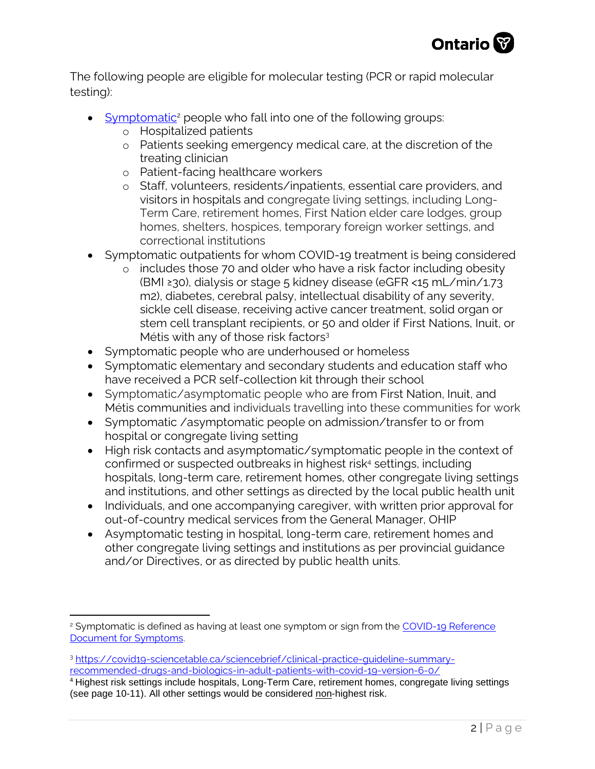

The following people are eligible for molecular testing (PCR or rapid molecular testing):

- [Symptomatic](https://www.health.gov.on.ca/en/pro/programs/publichealth/coronavirus/docs/2019_reference_doc_symptoms.pdf)<sup>2</sup> people who fall into one of the following groups:
	- o Hospitalized patients
	- o Patients seeking emergency medical care, at the discretion of the treating clinician
	- o Patient-facing healthcare workers
	- o Staff, volunteers, residents/inpatients, essential care providers, and visitors in hospitals and congregate living settings, including Long-Term Care, retirement homes, First Nation elder care lodges, group homes, shelters, hospices, temporary foreign worker settings, and correctional institutions
- Symptomatic outpatients for whom COVID-19 treatment is being considered
	- o includes those 70 and older who have a risk factor including obesity (BMI ≥30), dialysis or stage 5 kidney disease (eGFR <15 mL/min/1.73 m2), diabetes, cerebral palsy, intellectual disability of any severity, sickle cell disease, receiving active cancer treatment, solid organ or stem cell transplant recipients, or 50 and older if First Nations, Inuit, or Métis with any of those risk factors<sup>3</sup>
- Symptomatic people who are underhoused or homeless
- Symptomatic elementary and secondary students and education staff who have received a PCR self-collection kit through their school
- Symptomatic/asymptomatic people who are from First Nation, Inuit, and Métis communities and individuals travelling into these communities for work
- Symptomatic /asymptomatic people on admission/transfer to or from hospital or congregate living setting
- High risk contacts and asymptomatic/symptomatic people in the context of confirmed or suspected outbreaks in highest risk<sup>4</sup> settings, including hospitals, long-term care, retirement homes, other congregate living settings and institutions, and other settings as directed by the local public health unit
- Individuals, and one accompanying caregiver, with written prior approval for out-of-country medical services from the General Manager, OHIP
- Asymptomatic testing in hospital, long-term care, retirement homes and other congregate living settings and institutions as per provincial guidance and/or Directives, or as directed by public health units.

<sup>&</sup>lt;sup>2</sup> Symptomatic is defined as having at least one symptom or sign from the COVID-19 Reference [Document for Symptoms.](http://www.health.gov.on.ca/en/pro/programs/publichealth/coronavirus/docs/2019_reference_doc_symptoms.pdf) 

<sup>3</sup> [https://covid19-sciencetable.ca/sciencebrief/clinical-practice-guideline-summary](https://covid19-sciencetable.ca/sciencebrief/clinical-practice-guideline-summary-recommended-drugs-and-biologics-in-adult-patients-with-covid-19-version-6-0/)[recommended-drugs-and-biologics-in-adult-patients-with-covid-19-version-6-0/](https://covid19-sciencetable.ca/sciencebrief/clinical-practice-guideline-summary-recommended-drugs-and-biologics-in-adult-patients-with-covid-19-version-6-0/)

<sup>4</sup> Highest risk settings include hospitals, Long-Term Care, retirement homes, congregate living settings (see page 10-11). All other settings would be considered non-highest risk.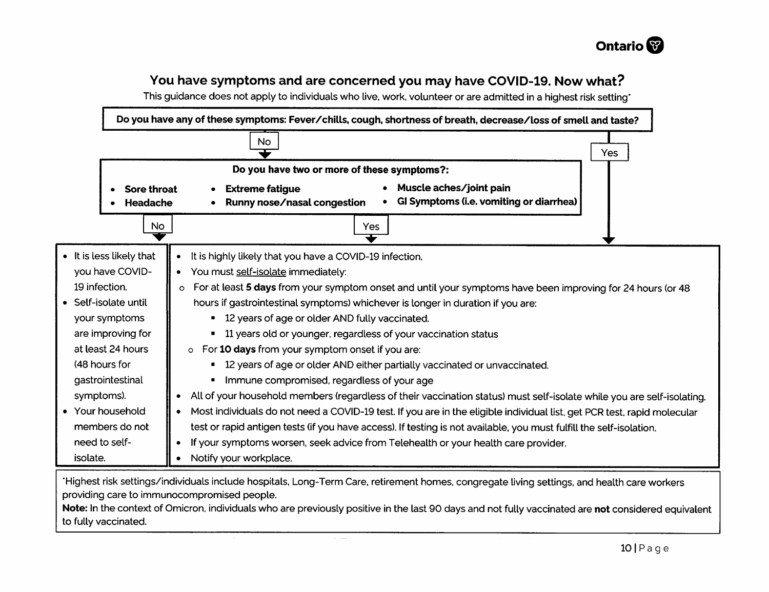

## You have symptoms and are concerned you may have COVID-19. Now what?

This quidance does not apply to individuals who live, work, volunteer or are admitted in a highest risk setting



للتبر

to fully vaccinated.